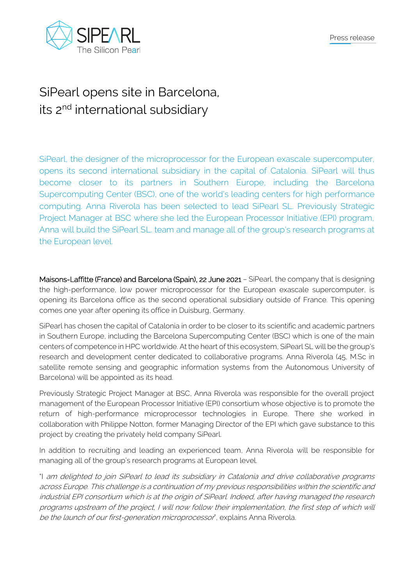



## SiPearl opens site in Barcelona, its 2<sup>nd</sup> international subsidiary

SiPearl, the designer of the microprocessor for the European exascale supercomputer, opens its second international subsidiary in the capital of Catalonia. SiPearl will thus become closer to its partners in Southern Europe, including the Barcelona Supercomputing Center (BSC), one of the world's leading centers for high performance computing. Anna Riverola has been selected to lead SiPearl SL. Previously Strategic Project Manager at BSC where she led the European Processor Initiative (EPI) program, Anna will build the SiPearl SL. team and manage all of the group's research programs at the European level.

Maisons-Laffitte (France) and Barcelona (Spain), 22 June 2021 - SiPearl, the company that is designing the high-performance, low power microprocessor for the European exascale supercomputer, is opening its Barcelona office as the second operational subsidiary outside of France. This opening comes one year after opening its office in Duisburg, Germany.

SiPearl has chosen the capital of Catalonia in order to be closer to its scientific and academic partners in Southern Europe, including the Barcelona Supercomputing Center (BSC) which is one of the main centers of competence in HPC worldwide. At the heart of this ecosystem, SiPearl SL will be the group's research and development center dedicated to collaborative programs. Anna Riverola (45, M.Sc in satellite remote sensing and geographic information systems from the Autonomous University of Barcelona) will be appointed as its head.

Previously Strategic Project Manager at BSC, Anna Riverola was responsible for the overall project management of the European Processor Initiative (EPI) consortium whose objective is to promote the return of high-performance microprocessor technologies in Europe. There she worked in collaboration with Philippe Notton, former Managing Director of the EPI which gave substance to this project by creating the privately held company SiPearl.

In addition to recruiting and leading an experienced team, Anna Riverola will be responsible for managing all of the group's research programs at European level.

"I am delighted to join SiPearl to lead its subsidiary in Catalonia and drive collaborative programs across Europe. This challenge is a continuation of my previous responsibilities within the scientific and industrial EPI consortium which is at the origin of SiPearl. Indeed, after having managed the research programs upstream of the project, I will now follow their implementation, the first step of which will be the launch of our first-generation microprocessor<sup>"</sup>, explains Anna Riverola.